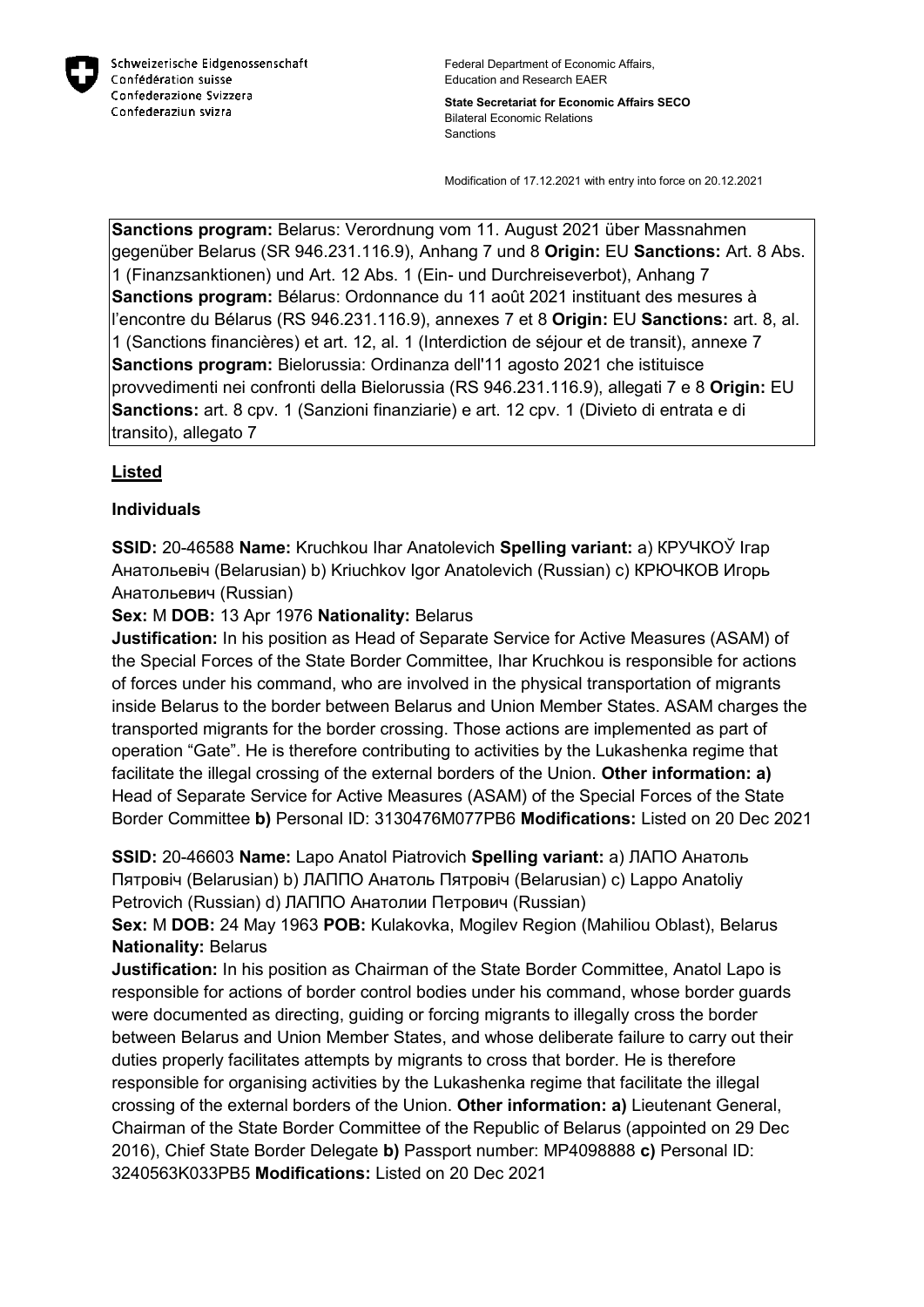

**State Secretariat for Economic Affairs SECO** Bilateral Economic Relations Sanctions

Modification of 17.12.2021 with entry into force on 20.12.2021

**Sanctions program:** Belarus: Verordnung vom 11. August 2021 über Massnahmen gegenüber Belarus (SR 946.231.116.9), Anhang 7 und 8 **Origin:** EU **Sanctions:** Art. 8 Abs. 1 (Finanzsanktionen) und Art. 12 Abs. 1 (Ein- und Durchreiseverbot), Anhang 7 **Sanctions program:** Bélarus: Ordonnance du 11 août 2021 instituant des mesures à l'encontre du Bélarus (RS 946.231.116.9), annexes 7 et 8 **Origin:** EU **Sanctions:** art. 8, al. 1 (Sanctions financières) et art. 12, al. 1 (Interdiction de séjour et de transit), annexe 7 **Sanctions program:** Bielorussia: Ordinanza dell'11 agosto 2021 che istituisce provvedimenti nei confronti della Bielorussia (RS 946.231.116.9), allegati 7 e 8 **Origin:** EU **Sanctions:** art. 8 cpv. 1 (Sanzioni finanziarie) e art. 12 cpv. 1 (Divieto di entrata e di transito), allegato 7

# **Listed**

## **Individuals**

**SSID:** 20-46588 **Name:** Kruchkou Ihar Anatolevich **Spelling variant:** a) КРУЧКОЎ Iгар Анатольевiч (Belarusian) b) Kriuchkov Igor Anatolevich (Russian) c) КРЮЧКОВ Игорь Анатольевич (Russian)

**Sex:** M **DOB:** 13 Apr 1976 **Nationality:** Belarus

**Justification:** In his position as Head of Separate Service for Active Measures (ASAM) of the Special Forces of the State Border Committee, Ihar Kruchkou is responsible for actions of forces under his command, who are involved in the physical transportation of migrants inside Belarus to the border between Belarus and Union Member States. ASAM charges the transported migrants for the border crossing. Those actions are implemented as part of operation "Gate". He is therefore contributing to activities by the Lukashenka regime that facilitate the illegal crossing of the external borders of the Union. **Other information: a)**  Head of Separate Service for Active Measures (ASAM) of the Special Forces of the State Border Committee **b)** Personal ID: 3130476M077PB6 **Modifications:** Listed on 20 Dec 2021

**SSID:** 20-46603 **Name:** Lapo Anatol Piatrovich **Spelling variant:** a) ЛАПО Анатоль Пятровiч (Belarusian) b) ЛАППО Анатоль Пятровiч (Belarusian) c) Lappo Anatoliy Petrovich (Russian) d) ЛАППО Анатолии Петрович (Russian)

**Sex:** M **DOB:** 24 May 1963 **POB:** Kulakovka, Mogilev Region (Mahiliou Oblast), Belarus **Nationality:** Belarus

**Justification:** In his position as Chairman of the State Border Committee, Anatol Lapo is responsible for actions of border control bodies under his command, whose border guards were documented as directing, guiding or forcing migrants to illegally cross the border between Belarus and Union Member States, and whose deliberate failure to carry out their duties properly facilitates attempts by migrants to cross that border. He is therefore responsible for organising activities by the Lukashenka regime that facilitate the illegal crossing of the external borders of the Union. **Other information: a)** Lieutenant General, Chairman of the State Border Committee of the Republic of Belarus (appointed on 29 Dec 2016), Chief State Border Delegate **b)** Passport number: MP4098888 **c)** Personal ID: 3240563K033PB5 **Modifications:** Listed on 20 Dec 2021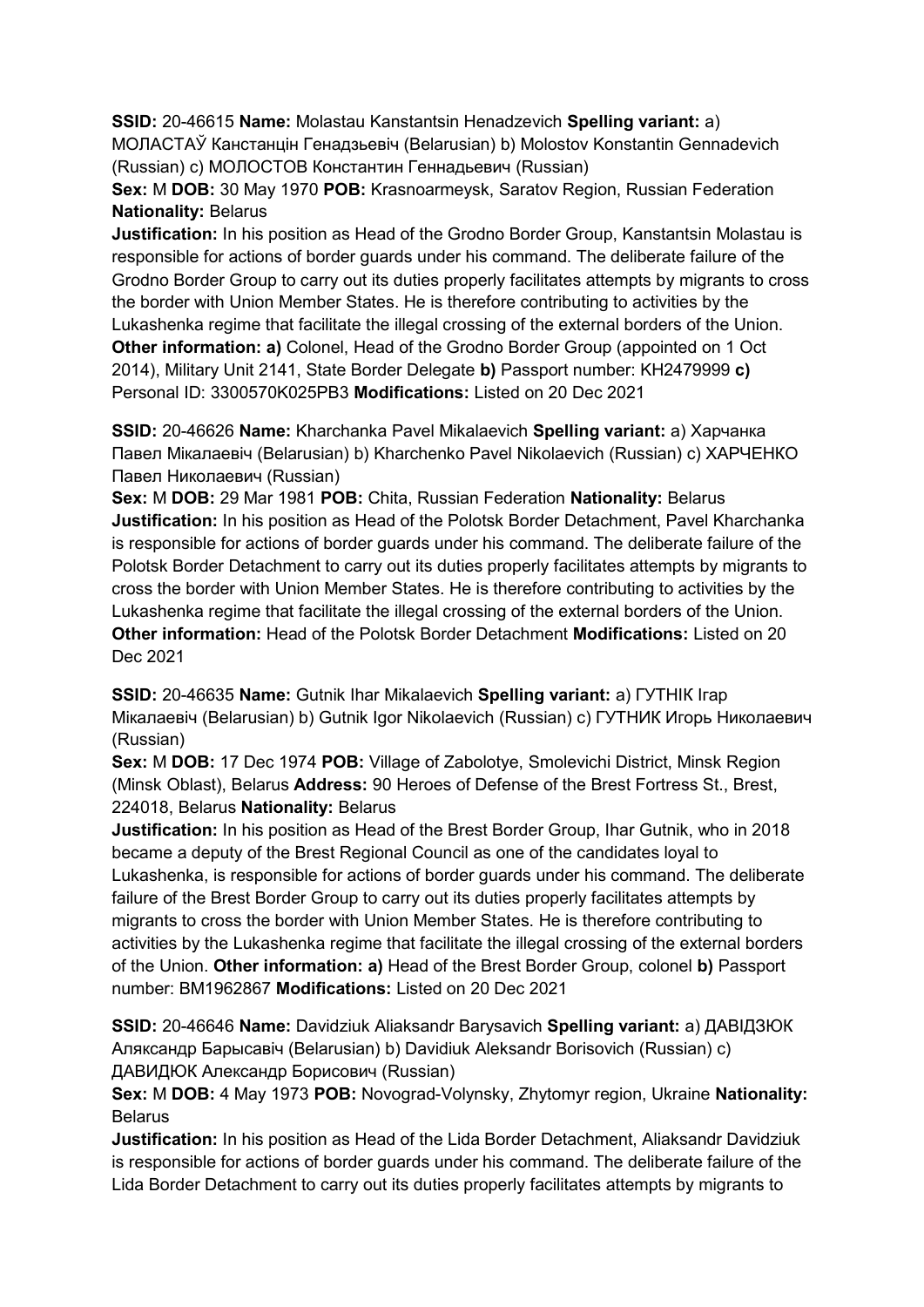**SSID:** 20-46615 **Name:** Molastau Kanstantsin Henadzevich **Spelling variant:** a) МОЛАСТАЎ Канстанцiн Генадзьевiч (Belarusian) b) Molostov Konstantin Gennadevich (Russian) c) МОЛОСТОВ Константин Геннадьевич (Russian)

**Sex:** M **DOB:** 30 May 1970 **POB:** Krasnoarmeysk, Saratov Region, Russian Federation **Nationality:** Belarus

**Justification:** In his position as Head of the Grodno Border Group, Kanstantsin Molastau is responsible for actions of border guards under his command. The deliberate failure of the Grodno Border Group to carry out its duties properly facilitates attempts by migrants to cross the border with Union Member States. He is therefore contributing to activities by the Lukashenka regime that facilitate the illegal crossing of the external borders of the Union. **Other information: a)** Colonel, Head of the Grodno Border Group (appointed on 1 Oct 2014), Military Unit 2141, State Border Delegate **b)** Passport number: KH2479999 **c)**  Personal ID: 3300570K025PB3 **Modifications:** Listed on 20 Dec 2021

**SSID:** 20-46626 **Name:** Kharchanka Pavel Mikalaevich **Spelling variant:** a) Харчанка Павел Мiкалаевiч (Belarusian) b) Kharchenko Pavel Nikolaevich (Russian) c) ХАРЧЕНКО Павел Николаевич (Russian)

**Sex:** M **DOB:** 29 Mar 1981 **POB:** Chita, Russian Federation **Nationality:** Belarus **Justification:** In his position as Head of the Polotsk Border Detachment, Pavel Kharchanka is responsible for actions of border guards under his command. The deliberate failure of the Polotsk Border Detachment to carry out its duties properly facilitates attempts by migrants to cross the border with Union Member States. He is therefore contributing to activities by the Lukashenka regime that facilitate the illegal crossing of the external borders of the Union. **Other information:** Head of the Polotsk Border Detachment **Modifications:** Listed on 20 Dec 2021

**SSID:** 20-46635 **Name:** Gutnik Ihar Mikalaevich **Spelling variant:** a) ГУТНIК Iгар Мiкалаевiч (Belarusian) b) Gutnik Igor Nikolaevich (Russian) c) ГУТНИК Игорь Николаевич (Russian)

**Sex:** M **DOB:** 17 Dec 1974 **POB:** Village of Zabolotye, Smolevichi District, Minsk Region (Minsk Oblast), Belarus **Address:** 90 Heroes of Defense of the Brest Fortress St., Brest, 224018, Belarus **Nationality:** Belarus

**Justification:** In his position as Head of the Brest Border Group, Ihar Gutnik, who in 2018 became a deputy of the Brest Regional Council as one of the candidates loyal to Lukashenka, is responsible for actions of border guards under his command. The deliberate failure of the Brest Border Group to carry out its duties properly facilitates attempts by migrants to cross the border with Union Member States. He is therefore contributing to activities by the Lukashenka regime that facilitate the illegal crossing of the external borders of the Union. **Other information: a)** Head of the Brest Border Group, colonel **b)** Passport number: BM1962867 **Modifications:** Listed on 20 Dec 2021

**SSID:** 20-46646 **Name:** Davidziuk Aliaksandr Barysavich **Spelling variant:** a) ДАВIДЗЮК Аляксандр Барысавiч (Belarusian) b) Davidiuk Aleksandr Borisovich (Russian) c) ДАВИДЮК Александр Борисович (Russian)

**Sex:** M **DOB:** 4 May 1973 **POB:** Novograd-Volynsky, Zhytomyr region, Ukraine **Nationality: Belarus** 

**Justification:** In his position as Head of the Lida Border Detachment, Aliaksandr Davidziuk is responsible for actions of border guards under his command. The deliberate failure of the Lida Border Detachment to carry out its duties properly facilitates attempts by migrants to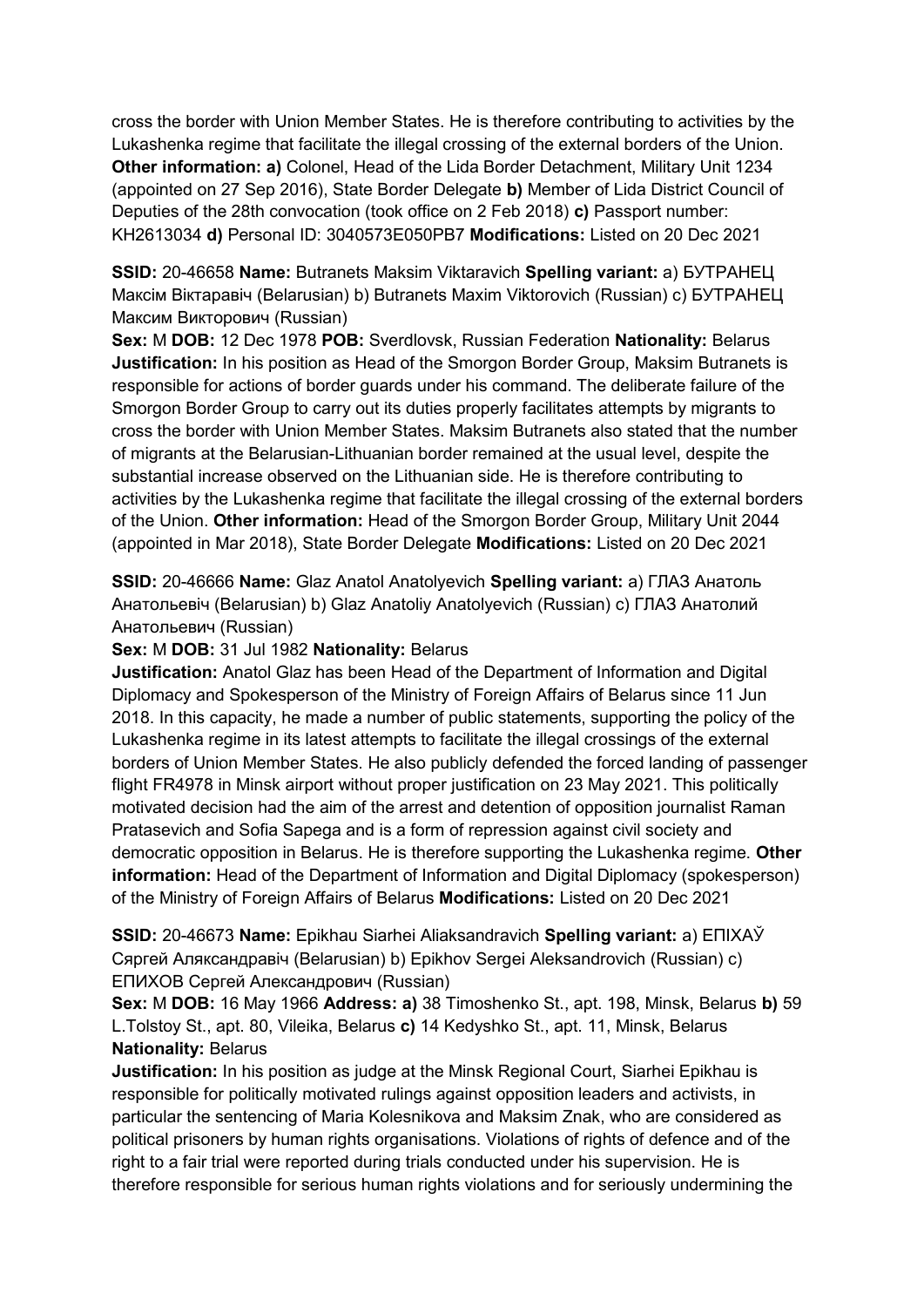cross the border with Union Member States. He is therefore contributing to activities by the Lukashenka regime that facilitate the illegal crossing of the external borders of the Union. **Other information: a)** Colonel, Head of the Lida Border Detachment, Military Unit 1234 (appointed on 27 Sep 2016), State Border Delegate **b)** Member of Lida District Council of Deputies of the 28th convocation (took office on 2 Feb 2018) **c)** Passport number: KH2613034 **d)** Personal ID: 3040573E050PB7 **Modifications:** Listed on 20 Dec 2021

**SSID:** 20-46658 **Name:** Butranets Maksim Viktaravich **Spelling variant:** a) БУТРАНЕЦ Максiм Вiктаравiч (Belarusian) b) Butranets Maxim Viktorovich (Russian) c) БУТРАНЕЦ Максим Викторович (Russian)

**Sex:** M **DOB:** 12 Dec 1978 **POB:** Sverdlovsk, Russian Federation **Nationality:** Belarus **Justification:** In his position as Head of the Smorgon Border Group, Maksim Butranets is responsible for actions of border guards under his command. The deliberate failure of the Smorgon Border Group to carry out its duties properly facilitates attempts by migrants to cross the border with Union Member States. Maksim Butranets also stated that the number of migrants at the Belarusian-Lithuanian border remained at the usual level, despite the substantial increase observed on the Lithuanian side. He is therefore contributing to activities by the Lukashenka regime that facilitate the illegal crossing of the external borders of the Union. **Other information:** Head of the Smorgon Border Group, Military Unit 2044 (appointed in Mar 2018), State Border Delegate **Modifications:** Listed on 20 Dec 2021

**SSID:** 20-46666 **Name:** Glaz Anatol Anatolyevich **Spelling variant:** a) ГЛАЗ Анатоль Анатольевiч (Belarusian) b) Glaz Anatoliy Anatolyevich (Russian) c) ГЛАЗ Анатолий Анатольевич (Russian)

**Sex:** M **DOB:** 31 Jul 1982 **Nationality:** Belarus

**Justification:** Anatol Glaz has been Head of the Department of Information and Digital Diplomacy and Spokesperson of the Ministry of Foreign Affairs of Belarus since 11 Jun 2018. In this capacity, he made a number of public statements, supporting the policy of the Lukashenka regime in its latest attempts to facilitate the illegal crossings of the external borders of Union Member States. He also publicly defended the forced landing of passenger flight FR4978 in Minsk airport without proper justification on 23 May 2021. This politically motivated decision had the aim of the arrest and detention of opposition journalist Raman Pratasevich and Sofia Sapega and is a form of repression against civil society and democratic opposition in Belarus. He is therefore supporting the Lukashenka regime. **Other information:** Head of the Department of Information and Digital Diplomacy (spokesperson) of the Ministry of Foreign Affairs of Belarus **Modifications:** Listed on 20 Dec 2021

**SSID:** 20-46673 **Name:** Epikhau Siarhei Aliaksandravich **Spelling variant:** a) ЕПIХАЎ Сяргей Аляксандравiч (Belarusian) b) Epikhov Sergei Aleksandrovich (Russian) c) ЕПИХОВ Сергей Александрович (Russian)

**Sex:** M **DOB:** 16 May 1966 **Address: a)** 38 Timoshenko St., apt. 198, Minsk, Belarus **b)** 59 L.Tolstoy St., apt. 80, Vileika, Belarus **c)** 14 Kedyshko St., apt. 11, Minsk, Belarus **Nationality:** Belarus

**Justification:** In his position as judge at the Minsk Regional Court, Siarhei Epikhau is responsible for politically motivated rulings against opposition leaders and activists, in particular the sentencing of Maria Kolesnikova and Maksim Znak, who are considered as political prisoners by human rights organisations. Violations of rights of defence and of the right to a fair trial were reported during trials conducted under his supervision. He is therefore responsible for serious human rights violations and for seriously undermining the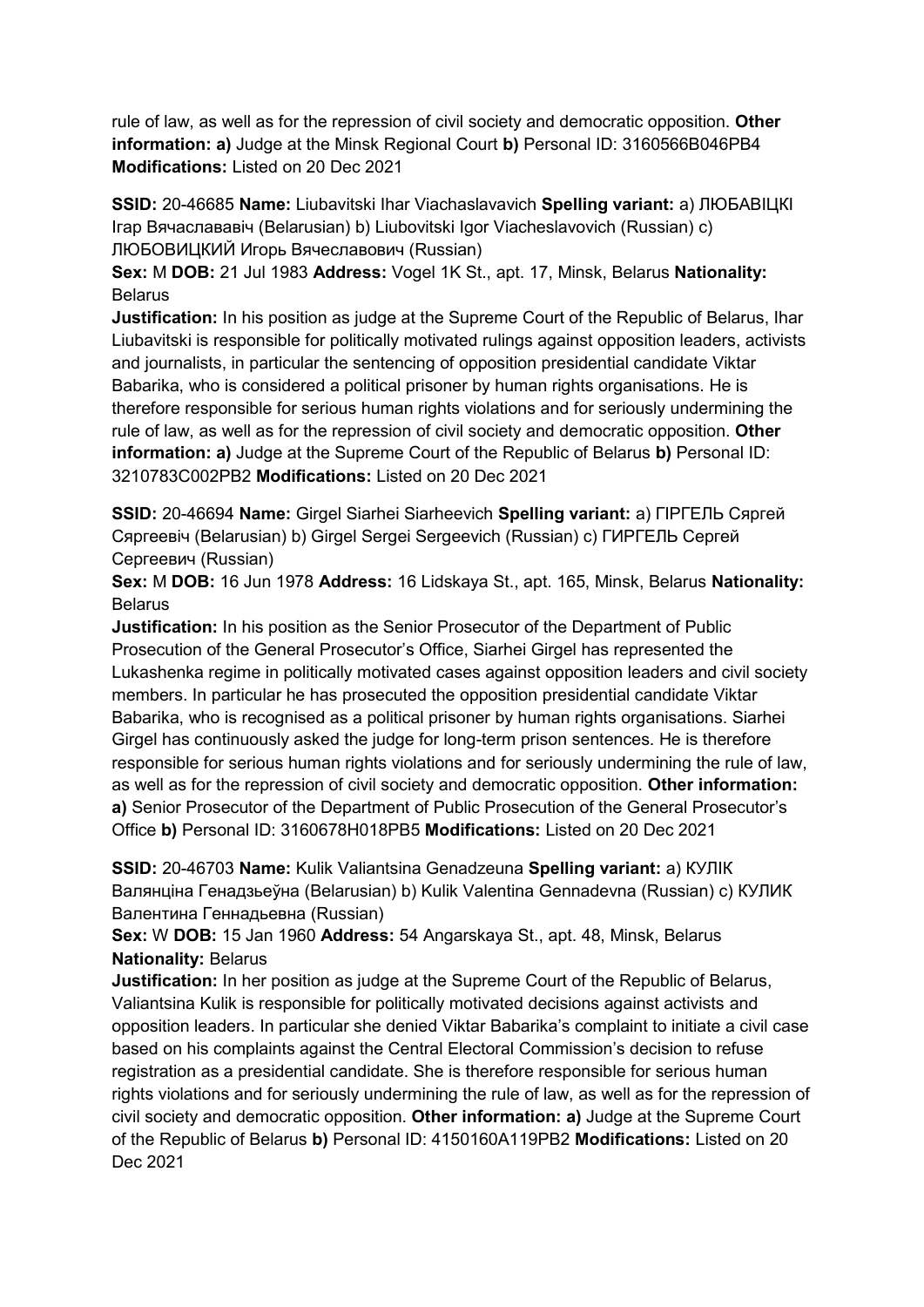rule of law, as well as for the repression of civil society and democratic opposition. **Other information: a)** Judge at the Minsk Regional Court **b)** Personal ID: 3160566B046PB4 **Modifications:** Listed on 20 Dec 2021

**SSID:** 20-46685 **Name:** Liubavitski Ihar Viachaslavavich **Spelling variant:** a) ЛЮБАВIЦКI Iгар Вячаслававiч (Belarusian) b) Liubovitski Igor Viacheslavovich (Russian) c) ЛЮБОВИЦКИЙ Игорь Вячеславович (Russian)

**Sex:** M **DOB:** 21 Jul 1983 **Address:** Vogel 1K St., apt. 17, Minsk, Belarus **Nationality: Belarus** 

**Justification:** In his position as judge at the Supreme Court of the Republic of Belarus, Ihar Liubavitski is responsible for politically motivated rulings against opposition leaders, activists and journalists, in particular the sentencing of opposition presidential candidate Viktar Babarika, who is considered a political prisoner by human rights organisations. He is therefore responsible for serious human rights violations and for seriously undermining the rule of law, as well as for the repression of civil society and democratic opposition. **Other information: a)** Judge at the Supreme Court of the Republic of Belarus **b)** Personal ID: 3210783C002PB2 **Modifications:** Listed on 20 Dec 2021

**SSID:** 20-46694 **Name:** Girgel Siarhei Siarheevich **Spelling variant:** a) ГIРГЕЛЬ Сяргей Сяргеевiч (Belarusian) b) Girgel Sergei Sergeevich (Russian) c) ГИРГЕЛЬ Сергей Сергеевич (Russian)

**Sex:** M **DOB:** 16 Jun 1978 **Address:** 16 Lidskaya St., apt. 165, Minsk, Belarus **Nationality: Belarus** 

**Justification:** In his position as the Senior Prosecutor of the Department of Public Prosecution of the General Prosecutor's Office, Siarhei Girgel has represented the Lukashenka regime in politically motivated cases against opposition leaders and civil society members. In particular he has prosecuted the opposition presidential candidate Viktar Babarika, who is recognised as a political prisoner by human rights organisations. Siarhei Girgel has continuously asked the judge for long-term prison sentences. He is therefore responsible for serious human rights violations and for seriously undermining the rule of law. as well as for the repression of civil society and democratic opposition. **Other information: a)** Senior Prosecutor of the Department of Public Prosecution of the General Prosecutor's Office **b)** Personal ID: 3160678H018PB5 **Modifications:** Listed on 20 Dec 2021

**SSID:** 20-46703 **Name:** Kulik Valiantsina Genadzeuna **Spelling variant:** a) КУЛIК Валянцiна Генадзьеўна (Belarusian) b) Kulik Valentina Gennadevna (Russian) c) КУЛИК Валентина Геннадьевна (Russian)

**Sex:** W **DOB:** 15 Jan 1960 **Address:** 54 Angarskaya St., apt. 48, Minsk, Belarus **Nationality:** Belarus

**Justification:** In her position as judge at the Supreme Court of the Republic of Belarus, Valiantsina Kulik is responsible for politically motivated decisions against activists and opposition leaders. In particular she denied Viktar Babarika's complaint to initiate a civil case based on his complaints against the Central Electoral Commission's decision to refuse registration as a presidential candidate. She is therefore responsible for serious human rights violations and for seriously undermining the rule of law, as well as for the repression of civil society and democratic opposition. **Other information: a)** Judge at the Supreme Court of the Republic of Belarus **b)** Personal ID: 4150160A119PB2 **Modifications:** Listed on 20 Dec 2021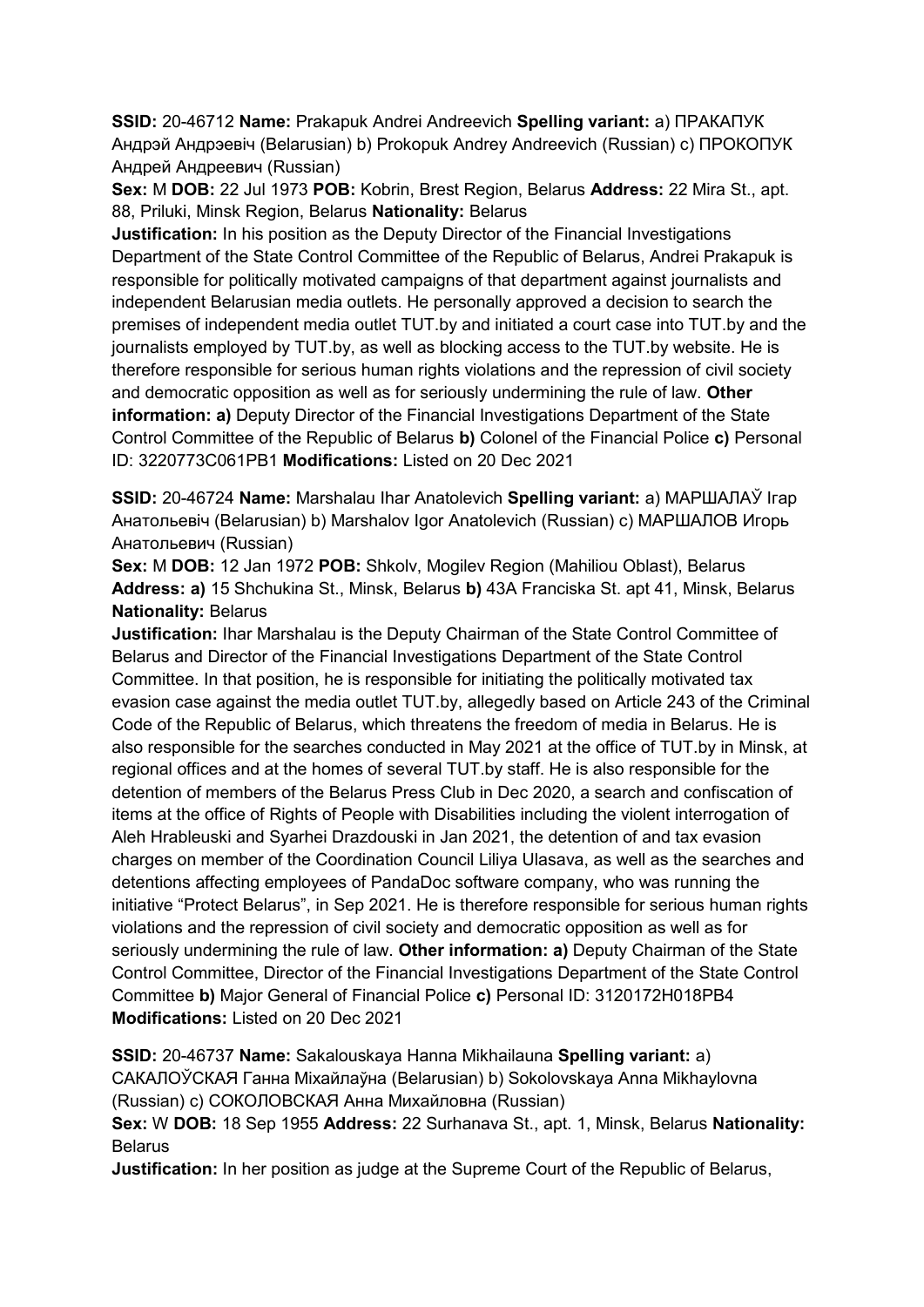**SSID:** 20-46712 **Name:** Prakapuk Andrei Andreevich **Spelling variant:** a) ПРАКАПУК Андрэй Андрэевiч (Belarusian) b) Prokopuk Andrey Andreevich (Russian) c) ПРОКОПУК Андрей Андреевич (Russian)

**Sex:** M **DOB:** 22 Jul 1973 **POB:** Kobrin, Brest Region, Belarus **Address:** 22 Mira St., apt. 88, Priluki, Minsk Region, Belarus **Nationality:** Belarus

**Justification:** In his position as the Deputy Director of the Financial Investigations Department of the State Control Committee of the Republic of Belarus, Andrei Prakapuk is responsible for politically motivated campaigns of that department against journalists and independent Belarusian media outlets. He personally approved a decision to search the premises of independent media outlet TUT.by and initiated a court case into TUT.by and the journalists employed by TUT.by, as well as blocking access to the TUT.by website. He is therefore responsible for serious human rights violations and the repression of civil society and democratic opposition as well as for seriously undermining the rule of law. **Other information: a)** Deputy Director of the Financial Investigations Department of the State Control Committee of the Republic of Belarus **b)** Colonel of the Financial Police **c)** Personal ID: 3220773C061PB1 **Modifications:** Listed on 20 Dec 2021

**SSID:** 20-46724 **Name:** Marshalau Ihar Anatolevich **Spelling variant:** a) МАРШАЛАЎ Iгар Анатольевiч (Belarusian) b) Marshalov Igor Anatolevich (Russian) c) МАРШАЛОВ Игорь Анатольевич (Russian)

**Sex:** M **DOB:** 12 Jan 1972 **POB:** Shkolv, Mogilev Region (Mahiliou Oblast), Belarus **Address: a)** 15 Shchukina St., Minsk, Belarus **b)** 43A Franciska St. apt 41, Minsk, Belarus **Nationality:** Belarus

**Justification:** Ihar Marshalau is the Deputy Chairman of the State Control Committee of Belarus and Director of the Financial Investigations Department of the State Control Committee. In that position, he is responsible for initiating the politically motivated tax evasion case against the media outlet TUT.by, allegedly based on Article 243 of the Criminal Code of the Republic of Belarus, which threatens the freedom of media in Belarus. He is also responsible for the searches conducted in May 2021 at the office of TUT.by in Minsk, at regional offices and at the homes of several TUT.by staff. He is also responsible for the detention of members of the Belarus Press Club in Dec 2020, a search and confiscation of items at the office of Rights of People with Disabilities including the violent interrogation of Aleh Hrableuski and Syarhei Drazdouski in Jan 2021, the detention of and tax evasion charges on member of the Coordination Council Liliya Ulasava, as well as the searches and detentions affecting employees of PandaDoc software company, who was running the initiative "Protect Belarus", in Sep 2021. He is therefore responsible for serious human rights violations and the repression of civil society and democratic opposition as well as for seriously undermining the rule of law. **Other information: a)** Deputy Chairman of the State Control Committee, Director of the Financial Investigations Department of the State Control Committee **b)** Major General of Financial Police **c)** Personal ID: 3120172H018PB4 **Modifications:** Listed on 20 Dec 2021

**SSID:** 20-46737 **Name:** Sakalouskaya Hanna Mikhailauna **Spelling variant:** a) САКАЛОЎСКАЯ Ганна Мiхайлаўна (Belarusian) b) Sokolovskaya Anna Mikhaylovna (Russian) c) СОКОЛОВСКАЯ Анна Михайловна (Russian)

**Sex:** W **DOB:** 18 Sep 1955 **Address:** 22 Surhanava St., apt. 1, Minsk, Belarus **Nationality:** Belarus

**Justification:** In her position as judge at the Supreme Court of the Republic of Belarus,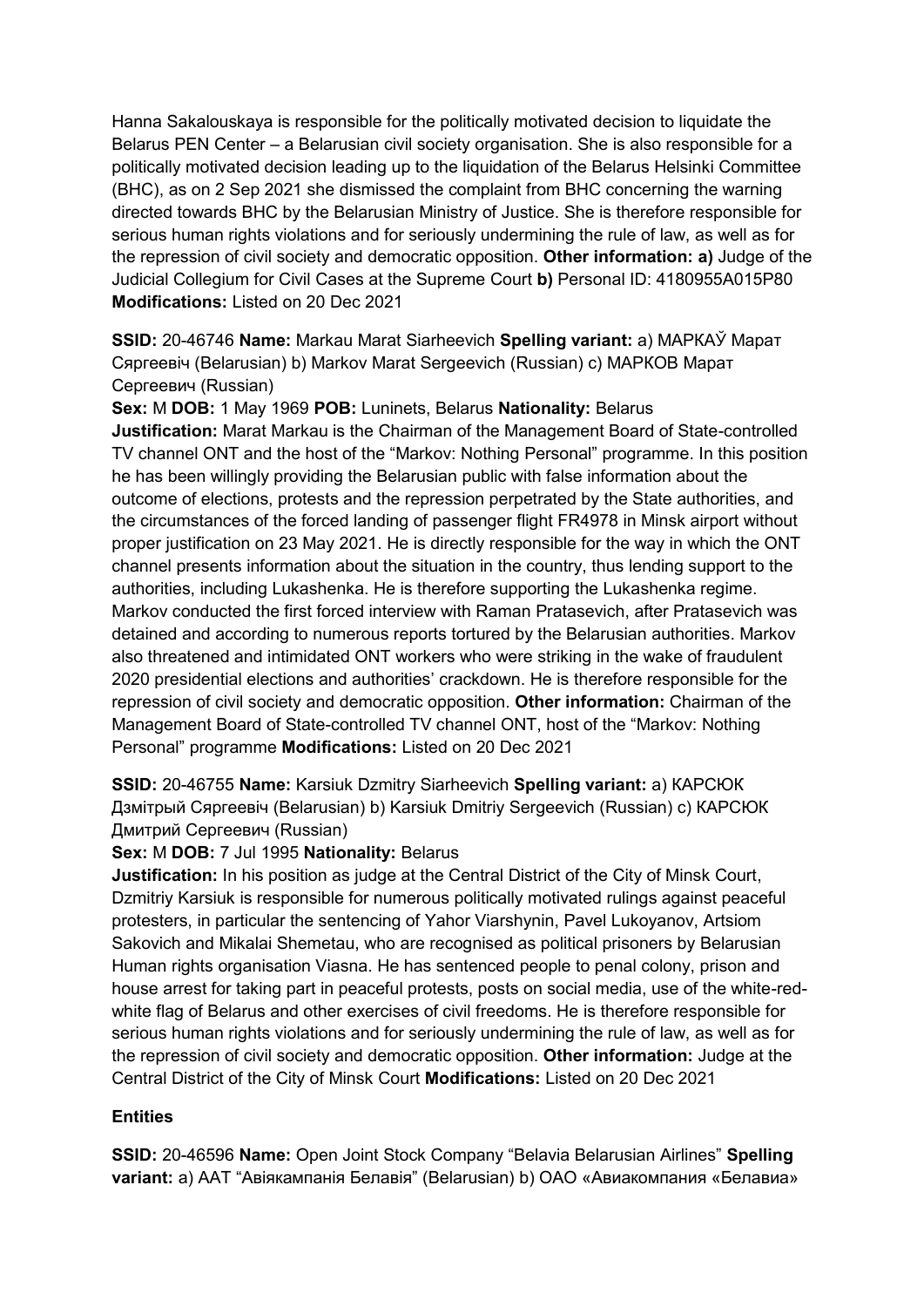Hanna Sakalouskaya is responsible for the politically motivated decision to liquidate the Belarus PEN Center – a Belarusian civil society organisation. She is also responsible for a politically motivated decision leading up to the liquidation of the Belarus Helsinki Committee (BHC), as on 2 Sep 2021 she dismissed the complaint from BHC concerning the warning directed towards BHC by the Belarusian Ministry of Justice. She is therefore responsible for serious human rights violations and for seriously undermining the rule of law, as well as for the repression of civil society and democratic opposition. **Other information: a)** Judge of the Judicial Collegium for Civil Cases at the Supreme Court **b)** Personal ID: 4180955A015P80 **Modifications:** Listed on 20 Dec 2021

**SSID:** 20-46746 **Name:** Markau Marat Siarheevich **Spelling variant:** a) МАРКАЎ Марат Сяргеевiч (Belarusian) b) Markov Marat Sergeevich (Russian) c) МАРКОВ Марат Сергеевич (Russian)

**Sex:** M **DOB:** 1 May 1969 **POB:** Luninets, Belarus **Nationality:** Belarus **Justification:** Marat Markau is the Chairman of the Management Board of State-controlled TV channel ONT and the host of the "Markov: Nothing Personal" programme. In this position he has been willingly providing the Belarusian public with false information about the outcome of elections, protests and the repression perpetrated by the State authorities, and the circumstances of the forced landing of passenger flight FR4978 in Minsk airport without proper justification on 23 May 2021. He is directly responsible for the way in which the ONT channel presents information about the situation in the country, thus lending support to the authorities, including Lukashenka. He is therefore supporting the Lukashenka regime. Markov conducted the first forced interview with Raman Pratasevich, after Pratasevich was detained and according to numerous reports tortured by the Belarusian authorities. Markov also threatened and intimidated ONT workers who were striking in the wake of fraudulent 2020 presidential elections and authorities' crackdown. He is therefore responsible for the repression of civil society and democratic opposition. **Other information:** Chairman of the Management Board of State-controlled TV channel ONT, host of the "Markov: Nothing Personal" programme **Modifications:** Listed on 20 Dec 2021

**SSID:** 20-46755 **Name:** Karsiuk Dzmitry Siarheevich **Spelling variant:** a) КАРСЮК Дзмiтрый Сяргеевiч (Belarusian) b) Karsiuk Dmitriy Sergeevich (Russian) c) КАРСЮК Дмитрий Сергеевич (Russian)

### **Sex:** M **DOB:** 7 Jul 1995 **Nationality:** Belarus

**Justification:** In his position as judge at the Central District of the City of Minsk Court, Dzmitriy Karsiuk is responsible for numerous politically motivated rulings against peaceful protesters, in particular the sentencing of Yahor Viarshynin, Pavel Lukoyanov, Artsiom Sakovich and Mikalai Shemetau, who are recognised as political prisoners by Belarusian Human rights organisation Viasna. He has sentenced people to penal colony, prison and house arrest for taking part in peaceful protests, posts on social media, use of the white-redwhite flag of Belarus and other exercises of civil freedoms. He is therefore responsible for serious human rights violations and for seriously undermining the rule of law, as well as for the repression of civil society and democratic opposition. **Other information:** Judge at the Central District of the City of Minsk Court **Modifications:** Listed on 20 Dec 2021

### **Entities**

**SSID:** 20-46596 **Name:** Open Joint Stock Company "Belavia Belarusian Airlines" **Spelling variant:** a) ААТ "Авiякампанiя Белавiя" (Belarusian) b) ОАО «Авиакомпания «Белавиа»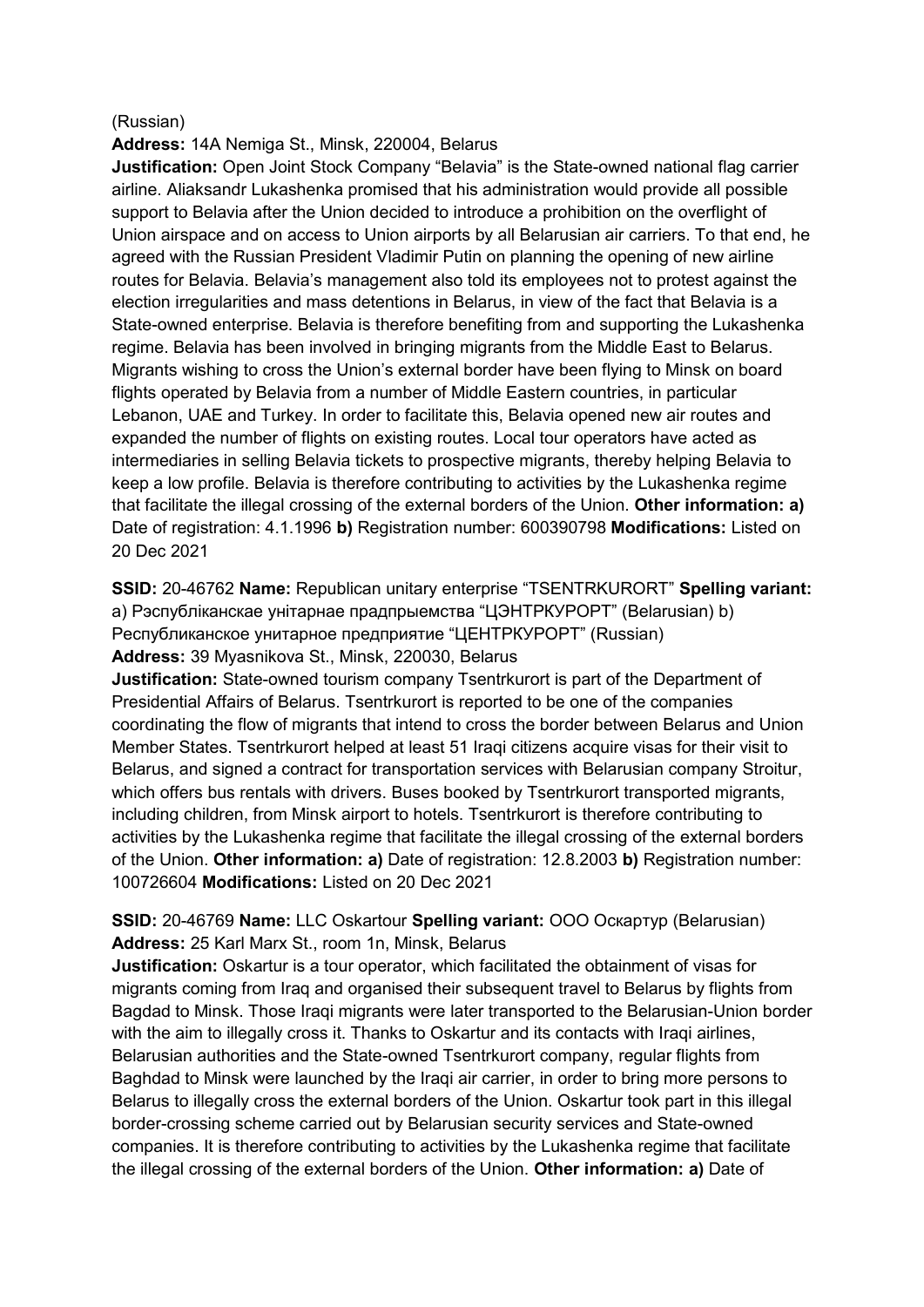#### (Russian)

**Address:** 14A Nemiga St., Minsk, 220004, Belarus

**Justification:** Open Joint Stock Company "Belavia" is the State-owned national flag carrier airline. Aliaksandr Lukashenka promised that his administration would provide all possible support to Belavia after the Union decided to introduce a prohibition on the overflight of Union airspace and on access to Union airports by all Belarusian air carriers. To that end, he agreed with the Russian President Vladimir Putin on planning the opening of new airline routes for Belavia. Belavia's management also told its employees not to protest against the election irregularities and mass detentions in Belarus, in view of the fact that Belavia is a State-owned enterprise. Belavia is therefore benefiting from and supporting the Lukashenka regime. Belavia has been involved in bringing migrants from the Middle East to Belarus. Migrants wishing to cross the Union's external border have been flying to Minsk on board flights operated by Belavia from a number of Middle Eastern countries, in particular Lebanon, UAE and Turkey. In order to facilitate this, Belavia opened new air routes and expanded the number of flights on existing routes. Local tour operators have acted as intermediaries in selling Belavia tickets to prospective migrants, thereby helping Belavia to keep a low profile. Belavia is therefore contributing to activities by the Lukashenka regime that facilitate the illegal crossing of the external borders of the Union. **Other information: a)**  Date of registration: 4.1.1996 **b)** Registration number: 600390798 **Modifications:** Listed on 20 Dec 2021

**SSID:** 20-46762 **Name:** Republican unitary enterprise "TSENTRKURORT" **Spelling variant:**  a) Рэспублiканскае унiтарнае прадпрыемства "ЦЭНТРКУРОРТ" (Belarusian) b) Республиканское унитарное предприятие "ЦЕНТРКУРОРТ" (Russian) **Address:** 39 Myasnikova St., Minsk, 220030, Belarus

**Justification:** State-owned tourism company Tsentrkurort is part of the Department of Presidential Affairs of Belarus. Tsentrkurort is reported to be one of the companies coordinating the flow of migrants that intend to cross the border between Belarus and Union Member States. Tsentrkurort helped at least 51 Iraqi citizens acquire visas for their visit to Belarus, and signed a contract for transportation services with Belarusian company Stroitur, which offers bus rentals with drivers. Buses booked by Tsentrkurort transported migrants, including children, from Minsk airport to hotels. Tsentrkurort is therefore contributing to activities by the Lukashenka regime that facilitate the illegal crossing of the external borders of the Union. **Other information: a)** Date of registration: 12.8.2003 **b)** Registration number: 100726604 **Modifications:** Listed on 20 Dec 2021

## **SSID:** 20-46769 **Name:** LLC Oskartour **Spelling variant:** ООО Оскартур (Belarusian) **Address:** 25 Karl Marx St., room 1n, Minsk, Belarus

**Justification:** Oskartur is a tour operator, which facilitated the obtainment of visas for migrants coming from Iraq and organised their subsequent travel to Belarus by flights from Bagdad to Minsk. Those Iraqi migrants were later transported to the Belarusian-Union border with the aim to illegally cross it. Thanks to Oskartur and its contacts with Iraqi airlines, Belarusian authorities and the State-owned Tsentrkurort company, regular flights from Baghdad to Minsk were launched by the Iraqi air carrier, in order to bring more persons to Belarus to illegally cross the external borders of the Union. Oskartur took part in this illegal border-crossing scheme carried out by Belarusian security services and State-owned companies. It is therefore contributing to activities by the Lukashenka regime that facilitate the illegal crossing of the external borders of the Union. **Other information: a)** Date of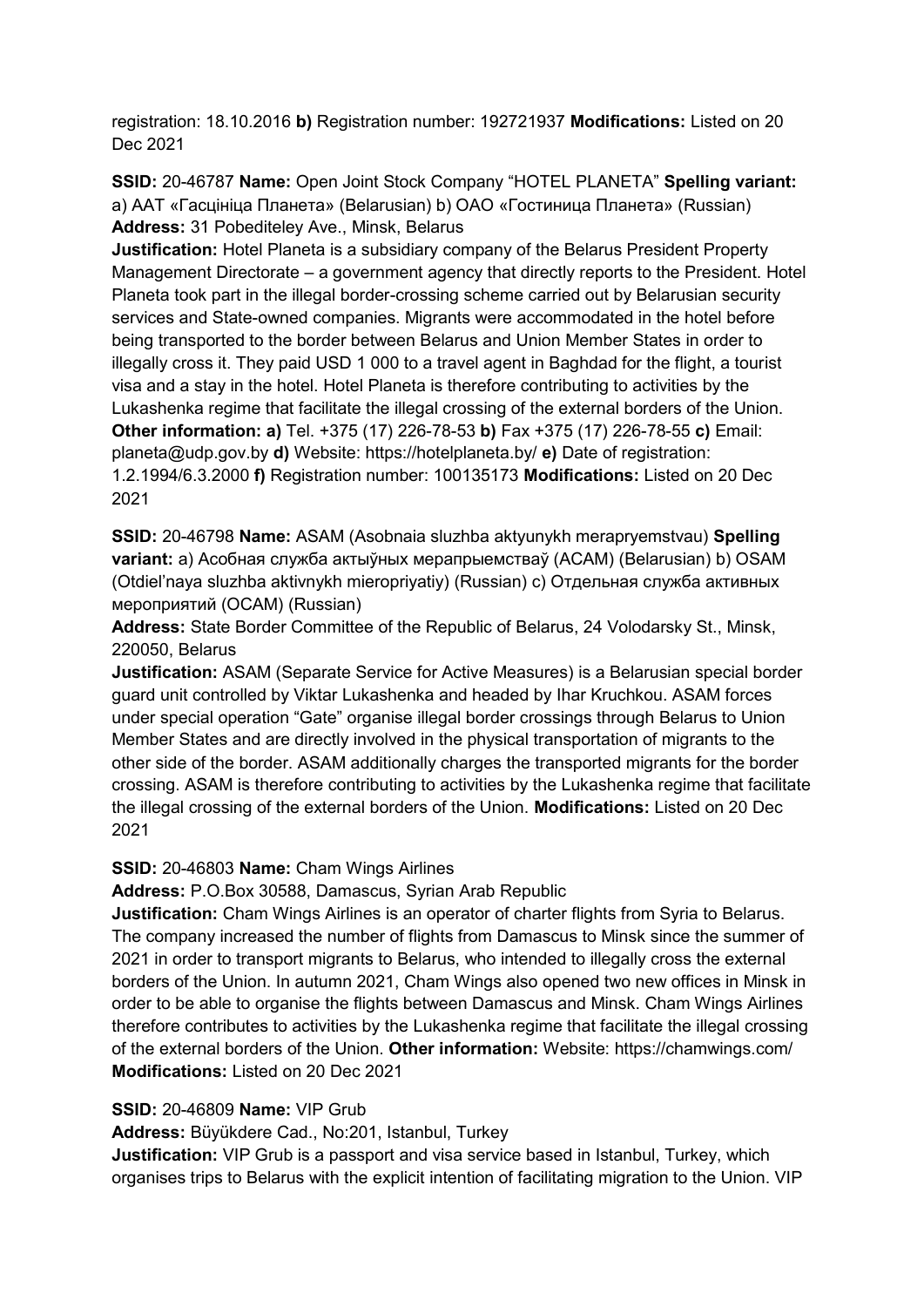registration: 18.10.2016 **b)** Registration number: 192721937 **Modifications:** Listed on 20 Dec 2021

**SSID:** 20-46787 **Name:** Open Joint Stock Company "HOTEL PLANETA" **Spelling variant:**  a) ААТ «Гасцiнiца Планета» (Belarusian) b) OAO «Гостиница Планета» (Russian) **Address:** 31 Pobediteley Ave., Minsk, Belarus

**Justification:** Hotel Planeta is a subsidiary company of the Belarus President Property Management Directorate – a government agency that directly reports to the President. Hotel Planeta took part in the illegal border-crossing scheme carried out by Belarusian security services and State-owned companies. Migrants were accommodated in the hotel before being transported to the border between Belarus and Union Member States in order to illegally cross it. They paid USD 1 000 to a travel agent in Baghdad for the flight, a tourist visa and a stay in the hotel. Hotel Planeta is therefore contributing to activities by the Lukashenka regime that facilitate the illegal crossing of the external borders of the Union. **Other information: a)** Tel. +375 (17) 226-78-53 **b)** Fax +375 (17) 226-78-55 **c)** Email: planeta@udp.gov.by **d)** Website: https://hotelplaneta.by/ **e)** Date of registration: 1.2.1994/6.3.2000 **f)** Registration number: 100135173 **Modifications:** Listed on 20 Dec 2021

**SSID:** 20-46798 **Name:** ASAM (Asobnaia sluzhba aktyunykh merapryemstvau) **Spelling variant:** a) Асобная служба актыўных мерапрыемстваў (АСАМ) (Belarusian) b) OSAM (Otdiel'naya sluzhba aktivnykh mieropriyatiy) (Russian) c) Отдельная служба активных мероприятий (ОСАМ) (Russian)

**Address:** State Border Committee of the Republic of Belarus, 24 Volodarsky St., Minsk, 220050, Belarus

**Justification:** ASAM (Separate Service for Active Measures) is a Belarusian special border guard unit controlled by Viktar Lukashenka and headed by Ihar Kruchkou. ASAM forces under special operation "Gate" organise illegal border crossings through Belarus to Union Member States and are directly involved in the physical transportation of migrants to the other side of the border. ASAM additionally charges the transported migrants for the border crossing. ASAM is therefore contributing to activities by the Lukashenka regime that facilitate the illegal crossing of the external borders of the Union. **Modifications:** Listed on 20 Dec 2021

### **SSID:** 20-46803 **Name:** Cham Wings Airlines

**Address:** P.O.Box 30588, Damascus, Syrian Arab Republic

**Justification:** Cham Wings Airlines is an operator of charter flights from Syria to Belarus. The company increased the number of flights from Damascus to Minsk since the summer of 2021 in order to transport migrants to Belarus, who intended to illegally cross the external borders of the Union. In autumn 2021, Cham Wings also opened two new offices in Minsk in order to be able to organise the flights between Damascus and Minsk. Cham Wings Airlines therefore contributes to activities by the Lukashenka regime that facilitate the illegal crossing of the external borders of the Union. **Other information:** Website: https://chamwings.com/ **Modifications:** Listed on 20 Dec 2021

### **SSID:** 20-46809 **Name:** VIP Grub

**Address:** Büyükdere Cad., No:201, Istanbul, Turkey

**Justification:** VIP Grub is a passport and visa service based in Istanbul, Turkey, which organises trips to Belarus with the explicit intention of facilitating migration to the Union. VIP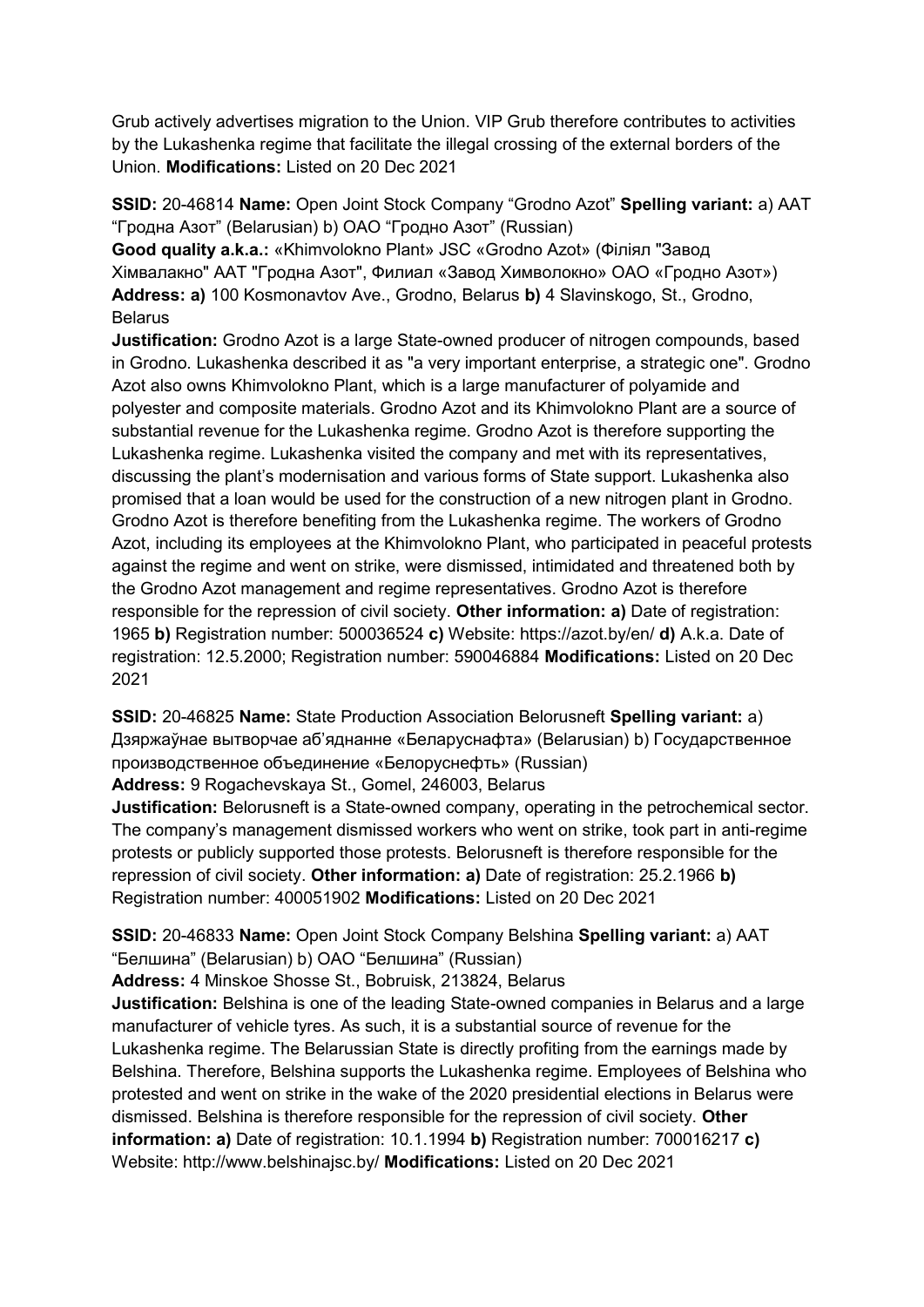Grub actively advertises migration to the Union. VIP Grub therefore contributes to activities by the Lukashenka regime that facilitate the illegal crossing of the external borders of the Union. **Modifications:** Listed on 20 Dec 2021

**SSID:** 20-46814 **Name:** Open Joint Stock Company "Grodno Azot" **Spelling variant:** a) ААТ "Гродна Азот" (Belarusian) b) ОАО "Гродно Азот" (Russian)

**Good quality a.k.a.:** «Khimvolokno Plant» JSC «Grodno Azot» (Фiлiял "Завод Хiмвалакно" ААТ "Гродна Азот", Филиал «Завод Химволокно» ОАО «Гродно Азот») **Address: a)** 100 Kosmonavtov Ave., Grodno, Belarus **b)** 4 Slavinskogo, St., Grodno, **Belarus** 

**Justification:** Grodno Azot is a large State-owned producer of nitrogen compounds, based in Grodno. Lukashenka described it as "a very important enterprise, a strategic one". Grodno Azot also owns Khimvolokno Plant, which is a large manufacturer of polyamide and polyester and composite materials. Grodno Azot and its Khimvolokno Plant are a source of substantial revenue for the Lukashenka regime. Grodno Azot is therefore supporting the Lukashenka regime. Lukashenka visited the company and met with its representatives, discussing the plant's modernisation and various forms of State support. Lukashenka also promised that a loan would be used for the construction of a new nitrogen plant in Grodno. Grodno Azot is therefore benefiting from the Lukashenka regime. The workers of Grodno Azot, including its employees at the Khimvolokno Plant, who participated in peaceful protests against the regime and went on strike, were dismissed, intimidated and threatened both by the Grodno Azot management and regime representatives. Grodno Azot is therefore responsible for the repression of civil society. **Other information: a)** Date of registration: 1965 **b)** Registration number: 500036524 **c)** Website: https://azot.by/en/ **d)** A.k.a. Date of registration: 12.5.2000; Registration number: 590046884 **Modifications:** Listed on 20 Dec 2021

**SSID:** 20-46825 **Name:** State Production Association Belorusneft **Spelling variant:** a) Дзяржаўнае вытворчае аб'яднанне «Беларуснафта» (Belarusian) b) Государственное производственное объединение «Белоруснефть» (Russian)

**Address:** 9 Rogachevskaya St., Gomel, 246003, Belarus

**Justification:** Belorusneft is a State-owned company, operating in the petrochemical sector. The company's management dismissed workers who went on strike, took part in anti-regime protests or publicly supported those protests. Belorusneft is therefore responsible for the repression of civil society. **Other information: a)** Date of registration: 25.2.1966 **b)**  Registration number: 400051902 **Modifications:** Listed on 20 Dec 2021

**SSID:** 20-46833 **Name:** Open Joint Stock Company Belshina **Spelling variant:** a) AAT "Белшина" (Belarusian) b) ОАО "Белшина" (Russian)

**Address:** 4 Minskoe Shosse St., Bobruisk, 213824, Belarus

**Justification:** Belshina is one of the leading State-owned companies in Belarus and a large manufacturer of vehicle tyres. As such, it is a substantial source of revenue for the Lukashenka regime. The Belarussian State is directly profiting from the earnings made by Belshina. Therefore, Belshina supports the Lukashenka regime. Employees of Belshina who protested and went on strike in the wake of the 2020 presidential elections in Belarus were dismissed. Belshina is therefore responsible for the repression of civil society. **Other information: a)** Date of registration: 10.1.1994 **b)** Registration number: 700016217 **c)**  Website: http://www.belshinajsc.by/ **Modifications:** Listed on 20 Dec 2021